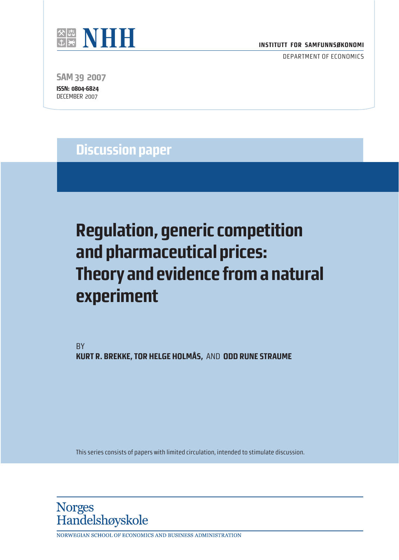

DEPARTMENT OF ECONOMICS

**SAM 39 2007 ISSN: 0804-6824** DECEMBER 2007

**Discussion paper**

# **Regulation, generic competition and pharmaceutical prices: Theory and evidence from a natural experiment**

BY **KURT R. BREKKE, TOR HELGE HOLMÅS,** AND **ODD RUNE STRAUME**

This series consists of papers with limited circulation, intended to stimulate discussion.



NORWEGIAN SCHOOL OF ECONOMICS AND BUSINESS ADMINISTRATION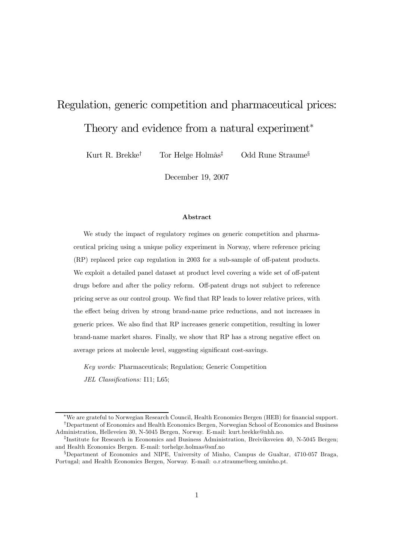## Regulation, generic competition and pharmaceutical prices: Theory and evidence from a natural experiment<sup>∗</sup>

Kurt R. Brekke<sup>†</sup> Tor Helge Holmås<sup>‡</sup> Odd Rune Straume<sup>§</sup>

December 19, 2007

#### Abstract

We study the impact of regulatory regimes on generic competition and pharmaceutical pricing using a unique policy experiment in Norway, where reference pricing (RP) replaced price cap regulation in 2003 for a sub-sample of off-patent products. We exploit a detailed panel dataset at product level covering a wide set of off-patent drugs before and after the policy reform. Off-patent drugs not subject to reference pricing serve as our control group. We find that RP leads to lower relative prices, with the effect being driven by strong brand-name price reductions, and not increases in generic prices. We also find that RP increases generic competition, resulting in lower brand-name market shares. Finally, we show that RP has a strong negative effect on average prices at molecule level, suggesting significant cost-savings.

Key words: Pharmaceuticals; Regulation; Generic Competition JEL Classifications: I11; L65;

<sup>∗</sup>We are grateful to Norwegian Research Council, Health Economics Bergen (HEB) for financial support. †Department of Economics and Health Economics Bergen, Norwegian School of Economics and Business Administration, Helleveien 30, N-5045 Bergen, Norway. E-mail: kurt.brekke@nhh.no.

<sup>‡</sup>Institute for Research in Economics and Business Administration, Breiviksveien 40, N-5045 Bergen; and Health Economics Bergen. E-mail: torhelge.holmas@snf.no

<sup>§</sup>Department of Economics and NIPE, University of Minho, Campus de Gualtar, 4710-057 Braga, Portugal; and Health Economics Bergen, Norway. E-mail: o.r.straume@eeg.uminho.pt.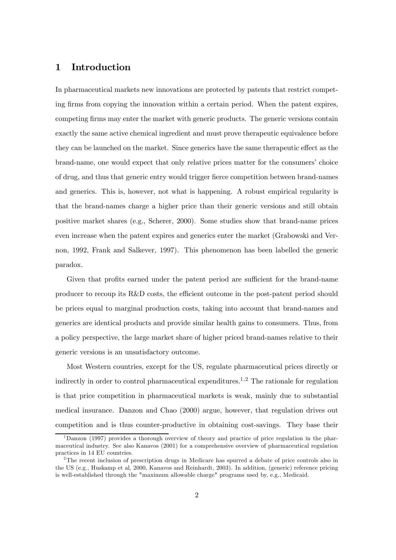#### 1 Introduction

In pharmaceutical markets new innovations are protected by patents that restrict competing firms from copying the innovation within a certain period. When the patent expires, competing firms may enter the market with generic products. The generic versions contain exactly the same active chemical ingredient and must prove therapeutic equivalence before they can be launched on the market. Since generics have the same therapeutic effect as the brand-name, one would expect that only relative prices matter for the consumers' choice of drug, and thus that generic entry would trigger fierce competition between brand-names and generics. This is, however, not what is happening. A robust empirical regularity is that the brand-names charge a higher price than their generic versions and still obtain positive market shares (e.g., Scherer, 2000). Some studies show that brand-name prices even increase when the patent expires and generics enter the market (Grabowski and Vernon, 1992, Frank and Salkever, 1997). This phenomenon has been labelled the generic paradox.

Given that profits earned under the patent period are sufficient for the brand-name producer to recoup its R&D costs, the efficient outcome in the post-patent period should be prices equal to marginal production costs, taking into account that brand-names and generics are identical products and provide similar health gains to consumers. Thus, from a policy perspective, the large market share of higher priced brand-names relative to their generic versions is an unsatisfactory outcome.

Most Western countries, except for the US, regulate pharmaceutical prices directly or indirectly in order to control pharmaceutical expenditures.<sup>1,2</sup> The rationale for regulation is that price competition in pharmaceutical markets is weak, mainly due to substantial medical insurance. Danzon and Chao (2000) argue, however, that regulation drives out competition and is thus counter-productive in obtaining cost-savings. They base their

<sup>&</sup>lt;sup>1</sup>Danzon (1997) provides a thorough overview of theory and practice of price regulation in the pharmaceutical industry. See also Kanavos (2001) for a comprehensive overview of pharmaceutical regulation practices in 14 EU countries.

<sup>&</sup>lt;sup>2</sup>The recent inclusion of prescription drugs in Medicare has spurred a debate of price controls also in the US (e.g., Huskamp et al, 2000, Kanavos and Reinhardt, 2003). In addition, (generic) reference pricing is well-established through the "maximum allowable charge" programs used by, e.g., Medicaid.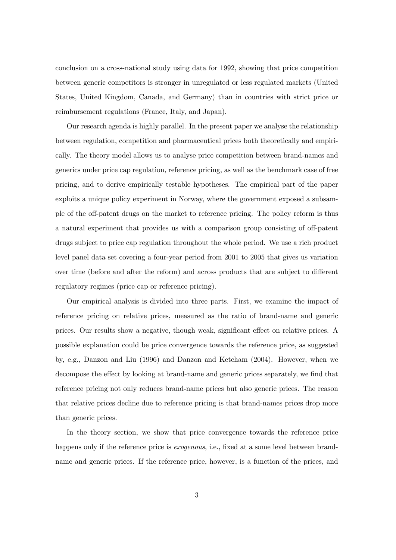conclusion on a cross-national study using data for 1992, showing that price competition between generic competitors is stronger in unregulated or less regulated markets (United States, United Kingdom, Canada, and Germany) than in countries with strict price or reimbursement regulations (France, Italy, and Japan).

Our research agenda is highly parallel. In the present paper we analyse the relationship between regulation, competition and pharmaceutical prices both theoretically and empirically. The theory model allows us to analyse price competition between brand-names and generics under price cap regulation, reference pricing, as well as the benchmark case of free pricing, and to derive empirically testable hypotheses. The empirical part of the paper exploits a unique policy experiment in Norway, where the government exposed a subsample of the off-patent drugs on the market to reference pricing. The policy reform is thus a natural experiment that provides us with a comparison group consisting of off-patent drugs subject to price cap regulation throughout the whole period. We use a rich product level panel data set covering a four-year period from 2001 to 2005 that gives us variation over time (before and after the reform) and across products that are subject to different regulatory regimes (price cap or reference pricing).

Our empirical analysis is divided into three parts. First, we examine the impact of reference pricing on relative prices, measured as the ratio of brand-name and generic prices. Our results show a negative, though weak, significant effect on relative prices. A possible explanation could be price convergence towards the reference price, as suggested by, e.g., Danzon and Liu (1996) and Danzon and Ketcham (2004). However, when we decompose the effect by looking at brand-name and generic prices separately, we find that reference pricing not only reduces brand-name prices but also generic prices. The reason that relative prices decline due to reference pricing is that brand-names prices drop more than generic prices.

In the theory section, we show that price convergence towards the reference price happens only if the reference price is *exogenous*, i.e., fixed at a some level between brandname and generic prices. If the reference price, however, is a function of the prices, and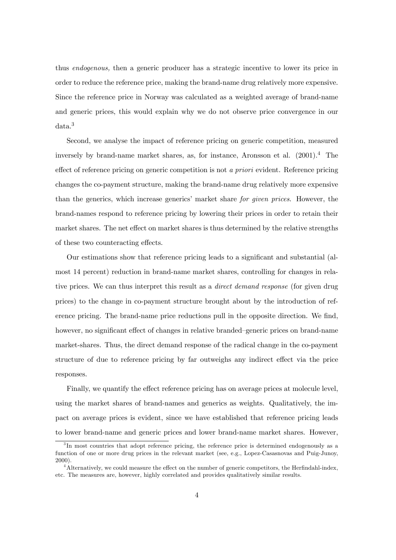thus endogenous, then a generic producer has a strategic incentive to lower its price in order to reduce the reference price, making the brand-name drug relatively more expensive. Since the reference price in Norway was calculated as a weighted average of brand-name and generic prices, this would explain why we do not observe price convergence in our data.<sup>3</sup>

Second, we analyse the impact of reference pricing on generic competition, measured inversely by brand-name market shares, as, for instance, Aronsson et al.  $(2001)^4$ . The effect of reference pricing on generic competition is not a priori evident. Reference pricing changes the co-payment structure, making the brand-name drug relatively more expensive than the generics, which increase generics' market share for given prices. However, the brand-names respond to reference pricing by lowering their prices in order to retain their market shares. The net effect on market shares is thus determined by the relative strengths of these two counteracting effects.

Our estimations show that reference pricing leads to a significant and substantial (almost 14 percent) reduction in brand-name market shares, controlling for changes in relative prices. We can thus interpret this result as a direct demand response (for given drug prices) to the change in co-payment structure brought about by the introduction of reference pricing. The brand-name price reductions pull in the opposite direction. We find, however, no significant effect of changes in relative branded—generic prices on brand-name market-shares. Thus, the direct demand response of the radical change in the co-payment structure of due to reference pricing by far outweighs any indirect effect via the price responses.

Finally, we quantify the effect reference pricing has on average prices at molecule level, using the market shares of brand-names and generics as weights. Qualitatively, the impact on average prices is evident, since we have established that reference pricing leads to lower brand-name and generic prices and lower brand-name market shares. However,

<sup>&</sup>lt;sup>3</sup>In most countries that adopt reference pricing, the reference price is determined endogenously as a function of one or more drug prices in the relevant market (see, e.g., Lopez-Casasnovas and Puig-Junoy, 2000).

<sup>4</sup>Alternatively, we could measure the effect on the number of generic competitors, the Herfindahl-index, etc. The measures are, however, highly correlated and provides qualitatively similar results.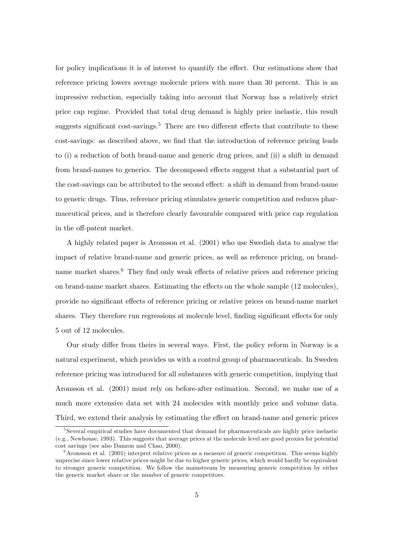for policy implications it is of interest to quantify the effect. Our estimations show that reference pricing lowers average molecule prices with more than 30 percent. This is an impressive reduction, especially taking into account that Norway has a relatively strict price cap regime. Provided that total drug demand is highly price inelastic, this result suggests significant cost-savings.<sup>5</sup> There are two different effects that contribute to these cost-savings: as described above, we find that the introduction of reference pricing leads to (i) a reduction of both brand-name and generic drug prices, and (ii) a shift in demand from brand-names to generics. The decomposed effects suggest that a substantial part of the cost-savings can be attributed to the second effect: a shift in demand from brand-name to generic drugs. Thus, reference pricing stimulates generic competition and reduces pharmaceutical prices, and is therefore clearly favourable compared with price cap regulation in the off-patent market.

A highly related paper is Aronsson et al. (2001) who use Swedish data to analyse the impact of relative brand-name and generic prices, as well as reference pricing, on brandname market shares.<sup>6</sup> They find only weak effects of relative prices and reference pricing on brand-name market shares. Estimating the effects on the whole sample (12 molecules), provide no significant effects of reference pricing or relative prices on brand-name market shares. They therefore run regressions at molecule level, finding significant effects for only 5 out of 12 molecules.

Our study differ from theirs in several ways. First, the policy reform in Norway is a natural experiment, which provides us with a control group of pharmaceuticals. In Sweden reference pricing was introduced for all substances with generic competition, implying that Aronsson et al. (2001) must rely on before-after estimation. Second, we make use of a much more extensive data set with 24 molecules with monthly price and volume data. Third, we extend their analysis by estimating the effect on brand-name and generic prices

<sup>&</sup>lt;sup>5</sup>Several empirical studies have documented that demand for pharmaceuticals are highly price inelastic (e.g., Newhouse, 1993). This suggests that average prices at the molecule level are good proxies for potential cost savings (see also Danzon and Chao, 2000).

 $6$ Aronsson et al. (2001) interpret relative prices as a measure of generic competition. This seems highly unprecise since lower relative prices might be due to higher generic prices, which would hardly be equivalent to stronger generic competition. We follow the mainstream by measuring generic competition by either the generic market share or the number of generic competitors.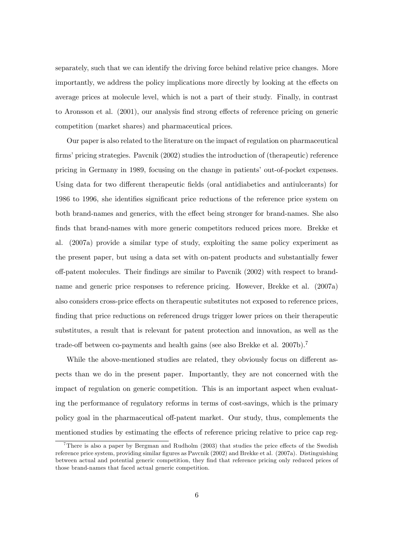separately, such that we can identify the driving force behind relative price changes. More importantly, we address the policy implications more directly by looking at the effects on average prices at molecule level, which is not a part of their study. Finally, in contrast to Aronsson et al. (2001), our analysis find strong effects of reference pricing on generic competition (market shares) and pharmaceutical prices.

Our paper is also related to the literature on the impact of regulation on pharmaceutical firms' pricing strategies. Pavcnik (2002) studies the introduction of (therapeutic) reference pricing in Germany in 1989, focusing on the change in patients' out-of-pocket expenses. Using data for two different therapeutic fields (oral antidiabetics and antiulcerants) for 1986 to 1996, she identifies significant price reductions of the reference price system on both brand-names and generics, with the effect being stronger for brand-names. She also finds that brand-names with more generic competitors reduced prices more. Brekke et al. (2007a) provide a similar type of study, exploiting the same policy experiment as the present paper, but using a data set with on-patent products and substantially fewer off-patent molecules. Their findings are similar to Pavcnik (2002) with respect to brandname and generic price responses to reference pricing. However, Brekke et al. (2007a) also considers cross-price effects on therapeutic substitutes not exposed to reference prices, finding that price reductions on referenced drugs trigger lower prices on their therapeutic substitutes, a result that is relevant for patent protection and innovation, as well as the trade-off between co-payments and health gains (see also Brekke et al. 2007b).<sup>7</sup>

While the above-mentioned studies are related, they obviously focus on different aspects than we do in the present paper. Importantly, they are not concerned with the impact of regulation on generic competition. This is an important aspect when evaluating the performance of regulatory reforms in terms of cost-savings, which is the primary policy goal in the pharmaceutical off-patent market. Our study, thus, complements the mentioned studies by estimating the effects of reference pricing relative to price cap reg-

<sup>7</sup>There is also a paper by Bergman and Rudholm (2003) that studies the price effects of the Swedish reference price system, providing similar figures as Pavcnik (2002) and Brekke et al. (2007a). Distinguishing between actual and potential generic competition, they find that reference pricing only reduced prices of those brand-names that faced actual generic competition.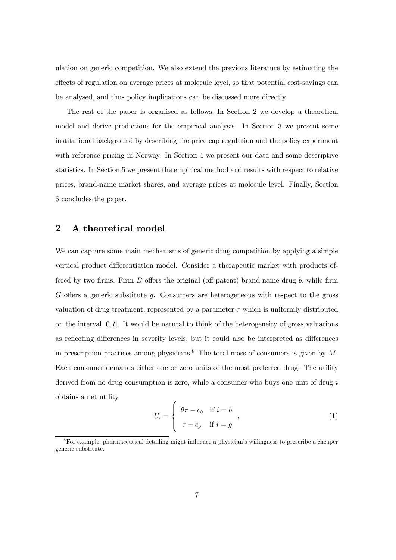ulation on generic competition. We also extend the previous literature by estimating the effects of regulation on average prices at molecule level, so that potential cost-savings can be analysed, and thus policy implications can be discussed more directly.

The rest of the paper is organised as follows. In Section 2 we develop a theoretical model and derive predictions for the empirical analysis. In Section 3 we present some institutional background by describing the price cap regulation and the policy experiment with reference pricing in Norway. In Section 4 we present our data and some descriptive statistics. In Section 5 we present the empirical method and results with respect to relative prices, brand-name market shares, and average prices at molecule level. Finally, Section 6 concludes the paper.

#### 2 A theoretical model

We can capture some main mechanisms of generic drug competition by applying a simple vertical product differentiation model. Consider a therapeutic market with products offered by two firms. Firm  $B$  offers the original (off-patent) brand-name drug  $b$ , while firm G offers a generic substitute g. Consumers are heterogeneous with respect to the gross valuation of drug treatment, represented by a parameter  $\tau$  which is uniformly distributed on the interval  $[0, t]$ . It would be natural to think of the heterogeneity of gross valuations as reflecting differences in severity levels, but it could also be interpreted as differences in prescription practices among physicians.<sup>8</sup> The total mass of consumers is given by M. Each consumer demands either one or zero units of the most preferred drug. The utility derived from no drug consumption is zero, while a consumer who buys one unit of drug i obtains a net utility

$$
U_i = \begin{cases} \theta \tau - c_b & \text{if } i = b \\ \tau - c_g & \text{if } i = g \end{cases}, \tag{1}
$$

<sup>8</sup>For example, pharmaceutical detailing might influence a physician's willingness to prescribe a cheaper generic substitute.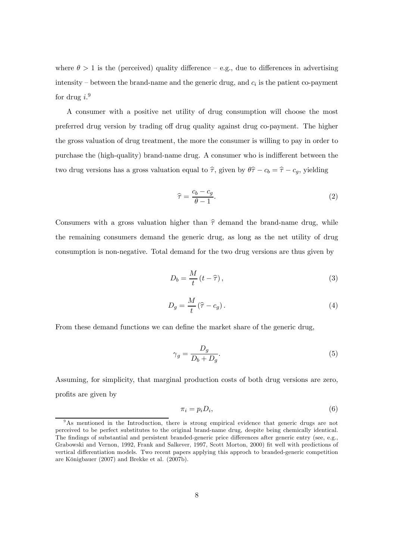where  $\theta > 1$  is the (perceived) quality difference – e.g., due to differences in advertising intensity – between the brand-name and the generic drug, and  $c_i$  is the patient co-payment for drug  $i.^9$ 

A consumer with a positive net utility of drug consumption will choose the most preferred drug version by trading off drug quality against drug co-payment. The higher the gross valuation of drug treatment, the more the consumer is willing to pay in order to purchase the (high-quality) brand-name drug. A consumer who is indifferent between the two drug versions has a gross valuation equal to  $\hat{\tau}$ , given by  $\theta\hat{\tau} - c_b = \hat{\tau} - c_g$ , yielding

$$
\hat{\tau} = \frac{c_b - c_g}{\theta - 1}.\tag{2}
$$

Consumers with a gross valuation higher than  $\hat{\tau}$  demand the brand-name drug, while the remaining consumers demand the generic drug, as long as the net utility of drug consumption is non-negative. Total demand for the two drug versions are thus given by

$$
D_b = \frac{M}{t} \left( t - \hat{\tau} \right),\tag{3}
$$

$$
D_g = \frac{M}{t} \left(\hat{\tau} - c_g\right). \tag{4}
$$

From these demand functions we can define the market share of the generic drug,

$$
\gamma_g = \frac{D_g}{D_b + D_g}.\tag{5}
$$

Assuming, for simplicity, that marginal production costs of both drug versions are zero, profits are given by

$$
\pi_i = p_i D_i,\tag{6}
$$

<sup>&</sup>lt;sup>9</sup>As mentioned in the Introduction, there is strong empirical evidence that generic drugs are not perceived to be perfect substitutes to the original brand-name drug, despite being chemically identical. The findings of substantial and persistent branded-generic price differences after generic entry (see, e.g., Grabowski and Vernon, 1992, Frank and Salkever, 1997, Scott Morton, 2000) fit well with predictions of vertical differentiation models. Two recent papers applying this approch to branded-generic competition are Königbauer (2007) and Brekke et al. (2007b).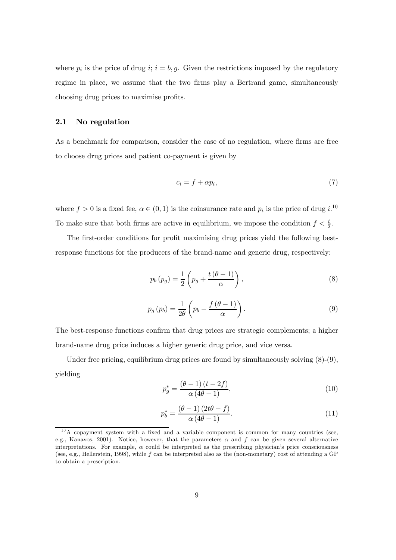where  $p_i$  is the price of drug i;  $i = b, g$ . Given the restrictions imposed by the regulatory regime in place, we assume that the two firms play a Bertrand game, simultaneously choosing drug prices to maximise profits.

#### 2.1 No regulation

As a benchmark for comparison, consider the case of no regulation, where firms are free to choose drug prices and patient co-payment is given by

$$
c_i = f + \alpha p_i,\tag{7}
$$

where  $f > 0$  is a fixed fee,  $\alpha \in (0, 1)$  is the coinsurance rate and  $p_i$  is the price of drug  $i^{10}$ To make sure that both firms are active in equilibrium, we impose the condition  $f < \frac{t}{2}$ .

The first-order conditions for profit maximising drug prices yield the following bestresponse functions for the producers of the brand-name and generic drug, respectively:

$$
p_b(p_g) = \frac{1}{2} \left( p_g + \frac{t(\theta - 1)}{\alpha} \right),\tag{8}
$$

$$
p_g(p_b) = \frac{1}{2\theta} \left( p_b - \frac{f(\theta - 1)}{\alpha} \right). \tag{9}
$$

The best-response functions confirm that drug prices are strategic complements; a higher brand-name drug price induces a higher generic drug price, and vice versa.

Under free pricing, equilibrium drug prices are found by simultaneously solving  $(8)-(9)$ , yielding

$$
p_g^* = \frac{(\theta - 1)(t - 2f)}{\alpha(4\theta - 1)},
$$
\n(10)

$$
p_b^* = \frac{(\theta - 1)(2t\theta - f)}{\alpha(4\theta - 1)}.
$$
\n(11)

 $10A$  copayment system with a fixed and a variable component is common for many countries (see, e.g., Kanavos, 2001). Notice, however, that the parameters  $\alpha$  and f can be given several alternative interpretations. For example,  $\alpha$  could be interpreted as the prescribing physician's price consciousness (see, e.g., Hellerstein, 1998), while f can be interpreted also as the (non-monetary) cost of attending a GP to obtain a prescription.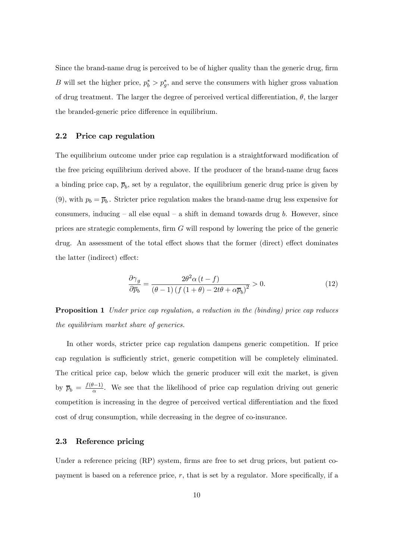Since the brand-name drug is perceived to be of higher quality than the generic drug, firm B will set the higher price,  $p_b^* > p_g^*$ , and serve the consumers with higher gross valuation of drug treatment. The larger the degree of perceived vertical differentiation,  $\theta$ , the larger the branded-generic price difference in equilibrium.

#### 2.2 Price cap regulation

The equilibrium outcome under price cap regulation is a straightforward modification of the free pricing equilibrium derived above. If the producer of the brand-name drug faces a binding price cap,  $\bar{p}_b$ , set by a regulator, the equilibrium generic drug price is given by (9), with  $p_b = \overline{p}_b$ . Stricter price regulation makes the brand-name drug less expensive for consumers, inducing – all else equal – a shift in demand towards drug  $b$ . However, since prices are strategic complements, firm G will respond by lowering the price of the generic drug. An assessment of the total effect shows that the former (direct) effect dominates the latter (indirect) effect:

$$
\frac{\partial \gamma_g}{\partial \overline{p}_b} = \frac{2\theta^2 \alpha (t - f)}{\left(\theta - 1\right) \left(f\left(1 + \theta\right) - 2t\theta + \alpha \overline{p}_b\right)^2} > 0. \tag{12}
$$

Proposition 1 Under price cap regulation, a reduction in the (binding) price cap reduces the equilibrium market share of generics.

In other words, stricter price cap regulation dampens generic competition. If price cap regulation is sufficiently strict, generic competition will be completely eliminated. The critical price cap, below which the generic producer will exit the market, is given by  $\overline{p}_b = \frac{f(\theta-1)}{\alpha}$ . We see that the likelihood of price cap regulation driving out generic competition is increasing in the degree of perceived vertical differentiation and the fixed cost of drug consumption, while decreasing in the degree of co-insurance.

#### 2.3 Reference pricing

Under a reference pricing (RP) system, firms are free to set drug prices, but patient copayment is based on a reference price,  $r$ , that is set by a regulator. More specifically, if a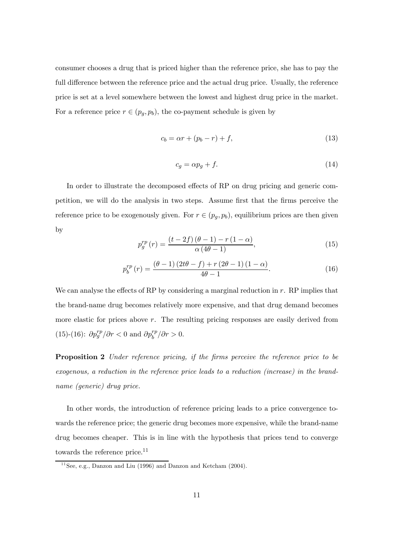consumer chooses a drug that is priced higher than the reference price, she has to pay the full difference between the reference price and the actual drug price. Usually, the reference price is set at a level somewhere between the lowest and highest drug price in the market. For a reference price  $r \in (p_g, p_b)$ , the co-payment schedule is given by

$$
c_b = \alpha r + (p_b - r) + f,\tag{13}
$$

$$
c_g = \alpha p_g + f. \tag{14}
$$

In order to illustrate the decomposed effects of RP on drug pricing and generic competition, we will do the analysis in two steps. Assume first that the firms perceive the reference price to be exogenously given. For  $r \in (p_g, p_b)$ , equilibrium prices are then given by

$$
p_g^{rp}\left(r\right) = \frac{\left(t - 2f\right)\left(\theta - 1\right) - r\left(1 - \alpha\right)}{\alpha\left(4\theta - 1\right)},\tag{15}
$$

$$
p_b^{rp}(r) = \frac{(\theta - 1)(2t\theta - f) + r(2\theta - 1)(1 - \alpha)}{4\theta - 1}.
$$
 (16)

We can analyse the effects of RP by considering a marginal reduction in r. RP implies that the brand-name drug becomes relatively more expensive, and that drug demand becomes more elastic for prices above  $r$ . The resulting pricing responses are easily derived from (15)-(16):  $\partial p_g^{rp}/\partial r < 0$  and  $\partial p_b^{rp}/\partial r > 0$ .

**Proposition 2** Under reference pricing, if the firms perceive the reference price to be exogenous, a reduction in the reference price leads to a reduction (increase) in the brandname (generic) drug price.

In other words, the introduction of reference pricing leads to a price convergence towards the reference price; the generic drug becomes more expensive, while the brand-name drug becomes cheaper. This is in line with the hypothesis that prices tend to converge towards the reference price.<sup>11</sup>

<sup>&</sup>lt;sup>11</sup> See, e.g., Danzon and Liu (1996) and Danzon and Ketcham (2004).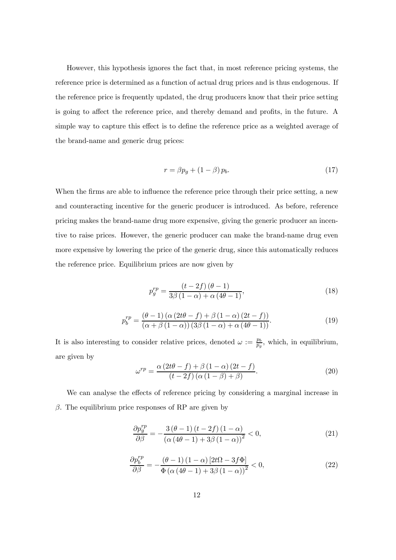However, this hypothesis ignores the fact that, in most reference pricing systems, the reference price is determined as a function of actual drug prices and is thus endogenous. If the reference price is frequently updated, the drug producers know that their price setting is going to affect the reference price, and thereby demand and profits, in the future. A simple way to capture this effect is to define the reference price as a weighted average of the brand-name and generic drug prices:

$$
r = \beta p_g + (1 - \beta) p_b. \tag{17}
$$

When the firms are able to influence the reference price through their price setting, a new and counteracting incentive for the generic producer is introduced. As before, reference pricing makes the brand-name drug more expensive, giving the generic producer an incentive to raise prices. However, the generic producer can make the brand-name drug even more expensive by lowering the price of the generic drug, since this automatically reduces the reference price. Equilibrium prices are now given by

$$
p_g^{rp} = \frac{\left(t - 2f\right)\left(\theta - 1\right)}{3\beta\left(1 - \alpha\right) + \alpha\left(4\theta - 1\right)},\tag{18}
$$

$$
p_b^{rp} = \frac{(\theta - 1)\left(\alpha\left(2t\theta - f\right) + \beta\left(1 - \alpha\right)\left(2t - f\right)\right)}{(\alpha + \beta\left(1 - \alpha\right))\left(3\beta\left(1 - \alpha\right) + \alpha\left(4\theta - 1\right)\right)}.
$$
\n(19)

It is also interesting to consider relative prices, denoted  $\omega := \frac{p_b}{p_g}$ , which, in equilibrium, are given by

$$
\omega^{rp} = \frac{\alpha (2t\theta - f) + \beta (1 - \alpha) (2t - f)}{(t - 2f) (\alpha (1 - \beta) + \beta)}.
$$
\n(20)

We can analyse the effects of reference pricing by considering a marginal increase in β. The equilibrium price responses of RP are given by

$$
\frac{\partial p_g^{rp}}{\partial \beta} = -\frac{3\left(\theta - 1\right)\left(t - 2f\right)\left(1 - \alpha\right)}{\left(\alpha\left(4\theta - 1\right) + 3\beta\left(1 - \alpha\right)\right)^2} < 0,\tag{21}
$$

$$
\frac{\partial p_b^{rp}}{\partial \beta} = -\frac{(\theta - 1)(1 - \alpha)[2t\Omega - 3f\Phi]}{\Phi\left(\alpha\left(4\theta - 1\right) + 3\beta\left(1 - \alpha\right)\right)^2} < 0,\tag{22}
$$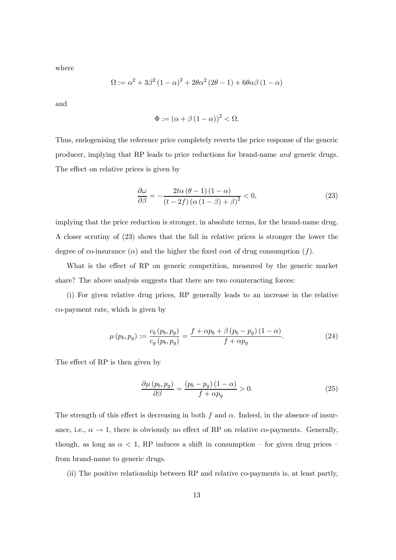where

$$
\Omega := \alpha^2 + 3\beta^2 (1 - \alpha)^2 + 2\theta \alpha^2 (2\theta - 1) + 6\theta \alpha \beta (1 - \alpha)
$$

and

$$
\Phi := (\alpha + \beta (1 - \alpha))^2 < \Omega.
$$

Thus, endogenising the reference price completely reverts the price response of the generic producer, implying that RP leads to price reductions for brand-name and generic drugs. The effect on relative prices is given by

$$
\frac{\partial \omega}{\partial \beta} = -\frac{2t\alpha(\theta - 1)(1 - \alpha)}{(t - 2f)(\alpha(1 - \beta) + \beta)^2} < 0,
$$
\n(23)

implying that the price reduction is stronger, in absolute terms, for the brand-name drug. A closer scrutiny of (23) shows that the fall in relative prices is stronger the lower the degree of co-insurance ( $\alpha$ ) and the higher the fixed cost of drug consumption (f).

What is the effect of RP on generic competition, measured by the generic market share? The above analysis suggests that there are two counteracting forces:

(i) For given relative drug prices, RP generally leads to an increase in the relative co-payment rate, which is given by

$$
\mu(p_b, p_g) := \frac{c_b(p_b, p_g)}{c_g(p_b, p_g)} = \frac{f + \alpha p_b + \beta (p_b - p_g)(1 - \alpha)}{f + \alpha p_g}.
$$
\n(24)

The effect of RP is then given by

$$
\frac{\partial \mu (p_b, p_g)}{\partial \beta} = \frac{(p_b - p_g)(1 - \alpha)}{f + \alpha p_g} > 0.
$$
\n(25)

The strength of this effect is decreasing in both f and  $\alpha$ . Indeed, in the absence of insurance, i.e.,  $\alpha \to 1$ , there is obviously no effect of RP on relative co-payments. Generally, though, as long as  $\alpha < 1$ , RP induces a shift in consumption – for given drug prices – from brand-name to generic drugs.

(ii) The positive relationship between RP and relative co-payments is, at least partly,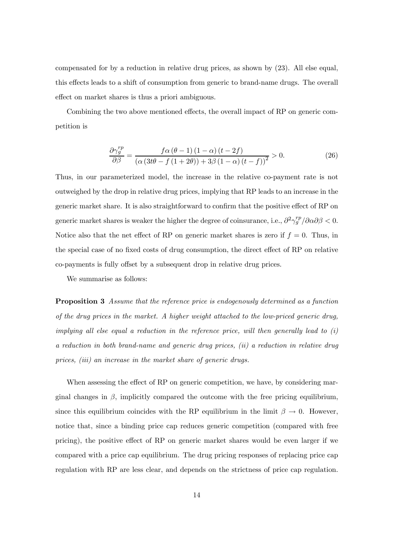compensated for by a reduction in relative drug prices, as shown by (23). All else equal, this effects leads to a shift of consumption from generic to brand-name drugs. The overall effect on market shares is thus a priori ambiguous.

Combining the two above mentioned effects, the overall impact of RP on generic competition is

$$
\frac{\partial \gamma_g^{rp}}{\partial \beta} = \frac{f \alpha \left(\theta - 1\right) \left(1 - \alpha\right) \left(t - 2f\right)}{\left(\alpha \left(3t\theta - f\left(1 + 2\theta\right)\right) + 3\beta \left(1 - \alpha\right) \left(t - f\right)\right)^2} > 0. \tag{26}
$$

Thus, in our parameterized model, the increase in the relative co-payment rate is not outweighed by the drop in relative drug prices, implying that RP leads to an increase in the generic market share. It is also straightforward to confirm that the positive effect of RP on generic market shares is weaker the higher the degree of coinsurance, i.e.,  $\frac{\partial^2 \gamma_g^{rp}}{\partial \alpha \partial \beta} < 0$ . Notice also that the net effect of RP on generic market shares is zero if  $f = 0$ . Thus, in the special case of no fixed costs of drug consumption, the direct effect of RP on relative co-payments is fully offset by a subsequent drop in relative drug prices.

We summarise as follows:

**Proposition 3** Assume that the reference price is endogenously determined as a function of the drug prices in the market. A higher weight attached to the low-priced generic drug, implying all else equal a reduction in the reference price, will then generally lead to (i) a reduction in both brand-name and generic drug prices, (ii) a reduction in relative drug prices, (iii) an increase in the market share of generic drugs.

When assessing the effect of RP on generic competition, we have, by considering marginal changes in  $\beta$ , implicitly compared the outcome with the free pricing equilibrium, since this equilibrium coincides with the RP equilibrium in the limit  $\beta \to 0$ . However, notice that, since a binding price cap reduces generic competition (compared with free pricing), the positive effect of RP on generic market shares would be even larger if we compared with a price cap equilibrium. The drug pricing responses of replacing price cap regulation with RP are less clear, and depends on the strictness of price cap regulation.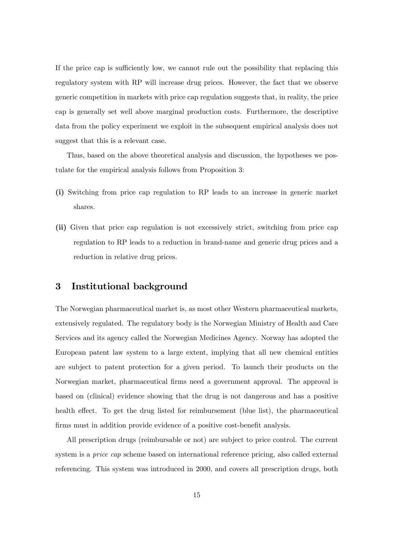If the price cap is sufficiently low, we cannot rule out the possibility that replacing this regulatory system with RP will increase drug prices. However, the fact that we observe generic competition in markets with price cap regulation suggests that, in reality, the price cap is generally set well above marginal production costs. Furthermore, the descriptive data from the policy experiment we exploit in the subsequent empirical analysis does not suggest that this is a relevant case.

Thus, based on the above theoretical analysis and discussion, the hypotheses we postulate for the empirical analysis follows from Proposition 3:

- (i) Switching from price cap regulation to RP leads to an increase in generic market shares.
- (ii) Given that price cap regulation is not excessively strict, switching from price cap regulation to RP leads to a reduction in brand-name and generic drug prices and a reduction in relative drug prices.

#### 3 Institutional background

The Norwegian pharmaceutical market is, as most other Western pharmaceutical markets, extensively regulated. The regulatory body is the Norwegian Ministry of Health and Care Services and its agency called the Norwegian Medicines Agency. Norway has adopted the European patent law system to a large extent, implying that all new chemical entities are subject to patent protection for a given period. To launch their products on the Norwegian market, pharmaceutical firms need a government approval. The approval is based on (clinical) evidence showing that the drug is not dangerous and has a positive health effect. To get the drug listed for reimbursement (blue list), the pharmaceutical firms must in addition provide evidence of a positive cost-benefit analysis.

All prescription drugs (reimbursable or not) are subject to price control. The current system is a *price cap* scheme based on international reference pricing, also called external referencing. This system was introduced in 2000, and covers all prescription drugs, both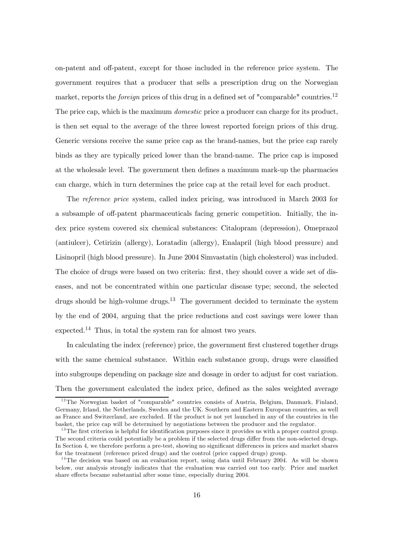on-patent and off-patent, except for those included in the reference price system. The government requires that a producer that sells a prescription drug on the Norwegian market, reports the *foreign* prices of this drug in a defined set of "comparable" countries.<sup>12</sup> The price cap, which is the maximum *domestic* price a producer can charge for its product, is then set equal to the average of the three lowest reported foreign prices of this drug. Generic versions receive the same price cap as the brand-names, but the price cap rarely binds as they are typically priced lower than the brand-name. The price cap is imposed at the wholesale level. The government then defines a maximum mark-up the pharmacies can charge, which in turn determines the price cap at the retail level for each product.

The reference price system, called index pricing, was introduced in March 2003 for a subsample of off-patent pharmaceuticals facing generic competition. Initially, the index price system covered six chemical substances: Citalopram (depression), Omeprazol (antiulcer), Cetirizin (allergy), Loratadin (allergy), Enalapril (high blood pressure) and Lisinopril (high blood pressure). In June 2004 Simvastatin (high cholesterol) was included. The choice of drugs were based on two criteria: first, they should cover a wide set of diseases, and not be concentrated within one particular disease type; second, the selected drugs should be high-volume drugs.<sup>13</sup> The government decided to terminate the system by the end of 2004, arguing that the price reductions and cost savings were lower than expected.14 Thus, in total the system ran for almost two years.

In calculating the index (reference) price, the government first clustered together drugs with the same chemical substance. Within each substance group, drugs were classified into subgroups depending on package size and dosage in order to adjust for cost variation. Then the government calculated the index price, defined as the sales weighted average

<sup>&</sup>lt;sup>12</sup>The Norwegian basket of "comparable" countries consists of Austria, Belgium, Danmark, Finland, Germany, Irland, the Netherlands, Sweden and the UK. Southern and Eastern European countries, as well as France and Switzerland, are excluded. If the product is not yet launched in any of the countries in the basket, the price cap will be determined by negotiations between the producer and the regulator.

<sup>&</sup>lt;sup>13</sup>The first criterion is helpful for identification purposes since it provides us with a proper control group. The second criteria could potentially be a problem if the selected drugs differ from the non-selected drugs. In Section 4, we therefore perform a pre-test, showing no significant differences in prices and market shares for the treatment (reference priced drugs) and the control (price capped drugs) group.

 $14$ The decision was based on an evaluation report, using data until February 2004. As will be shown below, our analysis strongly indicates that the evaluation was carried out too early. Price and market share effects became substantial after some time, especially during 2004.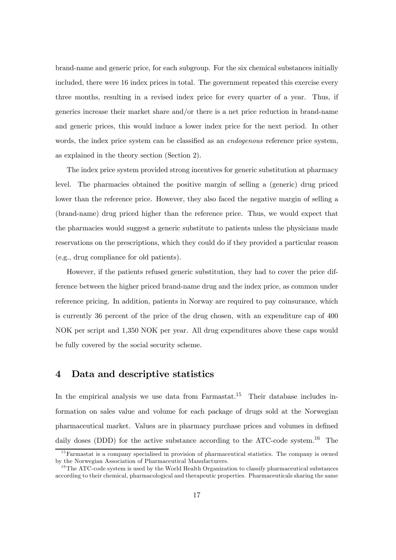brand-name and generic price, for each subgroup. For the six chemical substances initially included, there were 16 index prices in total. The government repeated this exercise every three months, resulting in a revised index price for every quarter of a year. Thus, if generics increase their market share and/or there is a net price reduction in brand-name and generic prices, this would induce a lower index price for the next period. In other words, the index price system can be classified as an *endogenous* reference price system, as explained in the theory section (Section 2).

The index price system provided strong incentives for generic substitution at pharmacy level. The pharmacies obtained the positive margin of selling a (generic) drug priced lower than the reference price. However, they also faced the negative margin of selling a (brand-name) drug priced higher than the reference price. Thus, we would expect that the pharmacies would suggest a generic substitute to patients unless the physicians made reservations on the prescriptions, which they could do if they provided a particular reason (e.g., drug compliance for old patients).

However, if the patients refused generic substitution, they had to cover the price difference between the higher priced brand-name drug and the index price, as common under reference pricing. In addition, patients in Norway are required to pay coinsurance, which is currently 36 percent of the price of the drug chosen, with an expenditure cap of 400 NOK per script and 1,350 NOK per year. All drug expenditures above these caps would be fully covered by the social security scheme.

#### 4 Data and descriptive statistics

In the empirical analysis we use data from Farmastat.<sup>15</sup> Their database includes information on sales value and volume for each package of drugs sold at the Norwegian pharmaceutical market. Values are in pharmacy purchase prices and volumes in defined daily doses (DDD) for the active substance according to the ATC-code system.<sup>16</sup> The

<sup>&</sup>lt;sup>15</sup>Farmastat is a company specialised in provision of pharmaceutical statistics. The company is owned by the Norwegian Association of Pharmaceutical Manufacturers.

 $16$ The ATC-code system is used by the World Health Organization to classify pharmaceutical substances according to their chemical, pharmacological and therapeutic properties. Pharmaceuticals sharing the same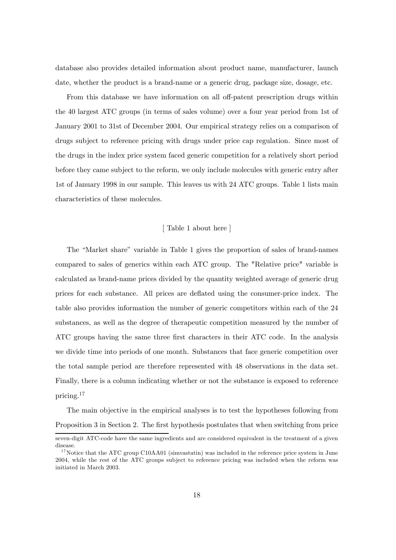database also provides detailed information about product name, manufacturer, launch date, whether the product is a brand-name or a generic drug, package size, dosage, etc.

From this database we have information on all off-patent prescription drugs within the 40 largest ATC groups (in terms of sales volume) over a four year period from 1st of January 2001 to 31st of December 2004. Our empirical strategy relies on a comparison of drugs subject to reference pricing with drugs under price cap regulation. Since most of the drugs in the index price system faced generic competition for a relatively short period before they came subject to the reform, we only include molecules with generic entry after 1st of January 1998 in our sample. This leaves us with 24 ATC groups. Table 1 lists main characteristics of these molecules.

#### [ Table 1 about here ]

The "Market share" variable in Table 1 gives the proportion of sales of brand-names compared to sales of generics within each ATC group. The "Relative price" variable is calculated as brand-name prices divided by the quantity weighted average of generic drug prices for each substance. All prices are deflated using the consumer-price index. The table also provides information the number of generic competitors within each of the 24 substances, as well as the degree of therapeutic competition measured by the number of ATC groups having the same three first characters in their ATC code. In the analysis we divide time into periods of one month. Substances that face generic competition over the total sample period are therefore represented with 48 observations in the data set. Finally, there is a column indicating whether or not the substance is exposed to reference pricing.17

The main objective in the empirical analyses is to test the hypotheses following from Proposition 3 in Section 2. The first hypothesis postulates that when switching from price

seven-digit ATC-code have the same ingredients and are considered equivalent in the treatment of a given disease.

 $17$ Notice that the ATC group C10AA01 (simvastatin) was included in the reference price system in June 2004, while the rest of the ATC groups subject to reference pricing was included when the reform was initiated in March 2003.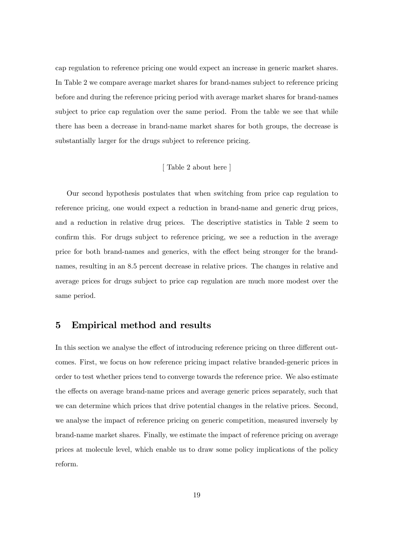cap regulation to reference pricing one would expect an increase in generic market shares. In Table 2 we compare average market shares for brand-names subject to reference pricing before and during the reference pricing period with average market shares for brand-names subject to price cap regulation over the same period. From the table we see that while there has been a decrease in brand-name market shares for both groups, the decrease is substantially larger for the drugs subject to reference pricing.

#### [ Table 2 about here ]

Our second hypothesis postulates that when switching from price cap regulation to reference pricing, one would expect a reduction in brand-name and generic drug prices, and a reduction in relative drug prices. The descriptive statistics in Table 2 seem to confirm this. For drugs subject to reference pricing, we see a reduction in the average price for both brand-names and generics, with the effect being stronger for the brandnames, resulting in an 8.5 percent decrease in relative prices. The changes in relative and average prices for drugs subject to price cap regulation are much more modest over the same period.

#### 5 Empirical method and results

In this section we analyse the effect of introducing reference pricing on three different outcomes. First, we focus on how reference pricing impact relative branded-generic prices in order to test whether prices tend to converge towards the reference price. We also estimate the effects on average brand-name prices and average generic prices separately, such that we can determine which prices that drive potential changes in the relative prices. Second, we analyse the impact of reference pricing on generic competition, measured inversely by brand-name market shares. Finally, we estimate the impact of reference pricing on average prices at molecule level, which enable us to draw some policy implications of the policy reform.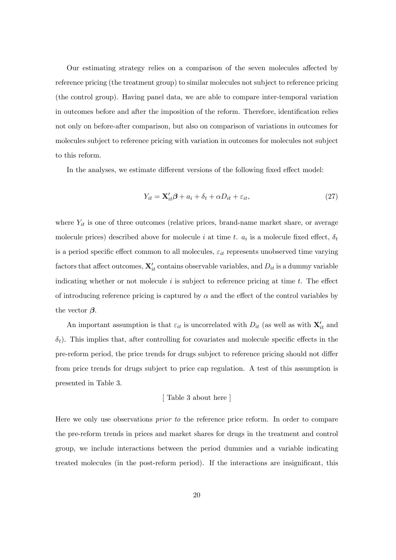Our estimating strategy relies on a comparison of the seven molecules affected by reference pricing (the treatment group) to similar molecules not subject to reference pricing (the control group). Having panel data, we are able to compare inter-temporal variation in outcomes before and after the imposition of the reform. Therefore, identification relies not only on before-after comparison, but also on comparison of variations in outcomes for molecules subject to reference pricing with variation in outcomes for molecules not subject to this reform.

In the analyses, we estimate different versions of the following fixed effect model:

$$
Y_{it} = \mathbf{X}'_{it}\boldsymbol{\beta} + a_i + \delta_t + \alpha D_{it} + \varepsilon_{it},\tag{27}
$$

where  $Y_{it}$  is one of three outcomes (relative prices, brand-name market share, or average molecule prices) described above for molecule i at time t.  $a_i$  is a molecule fixed effect,  $\delta_t$ is a period specific effect common to all molecules,  $\varepsilon_{it}$  represents unobserved time varying factors that affect outcomes,  $\mathbf{X}'_{it}$  contains observable variables, and  $D_{it}$  is a dummy variable indicating whether or not molecule  $i$  is subject to reference pricing at time  $t$ . The effect of introducing reference pricing is captured by  $\alpha$  and the effect of the control variables by the vector  $\beta$ .

An important assumption is that  $\varepsilon_{it}$  is uncorrelated with  $D_{it}$  (as well as with  $\mathbf{X}'_{it}$  and  $\delta_t$ ). This implies that, after controlling for covariates and molecule specific effects in the pre-reform period, the price trends for drugs subject to reference pricing should not differ from price trends for drugs subject to price cap regulation. A test of this assumption is presented in Table 3.

#### [ Table 3 about here ]

Here we only use observations *prior to* the reference price reform. In order to compare the pre-reform trends in prices and market shares for drugs in the treatment and control group, we include interactions between the period dummies and a variable indicating treated molecules (in the post-reform period). If the interactions are insignificant, this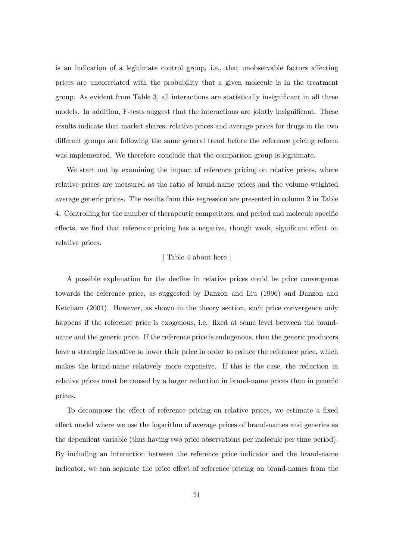is an indication of a legitimate control group, i.e., that unobservable factors affecting prices are uncorrelated with the probability that a given molecule is in the treatment group. As evident from Table 3, all interactions are statistically insignificant in all three models. In addition, F-tests suggest that the interactions are jointly insignificant. These results indicate that market shares, relative prices and average prices for drugs in the two different groups are following the same general trend before the reference pricing reform was implemented. We therefore conclude that the comparison group is legitimate.

We start out by examining the impact of reference pricing on relative prices, where relative prices are measured as the ratio of brand-name prices and the volume-weighted average generic prices. The results from this regression are presented in column 2 in Table 4. Controlling for the number of therapeutic competitors, and period and molecule specific effects, we find that reference pricing has a negative, though weak, significant effect on relative prices.

#### [ Table 4 about here ]

A possible explanation for the decline in relative prices could be price convergence towards the reference price, as suggested by Danzon and Liu (1996) and Danzon and Ketcham (2004). However, as shown in the theory section, such price convergence only happens if the reference price is exogenous, i.e. fixed at some level between the brandname and the generic price. If the reference price is endogenous, then the generic producers have a strategic incentive to lower their price in order to reduce the reference price, which makes the brand-name relatively more expensive. If this is the case, the reduction in relative prices must be caused by a larger reduction in brand-name prices than in generic prices.

To decompose the effect of reference pricing on relative prices, we estimate a fixed effect model where we use the logarithm of average prices of brand-names and generics as the dependent variable (thus having two price observations per molecule per time period). By including an interaction between the reference price indicator and the brand-name indicator, we can separate the price effect of reference pricing on brand-names from the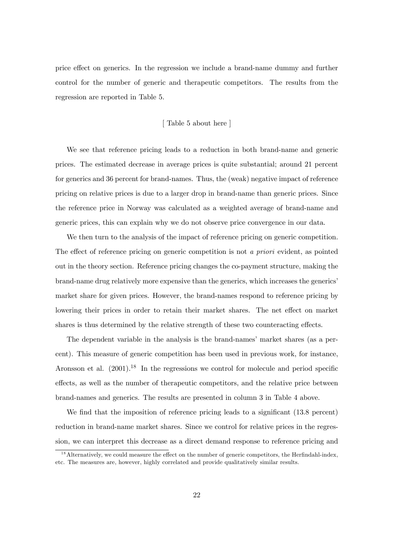price effect on generics. In the regression we include a brand-name dummy and further control for the number of generic and therapeutic competitors. The results from the regression are reported in Table 5.

#### [ Table 5 about here ]

We see that reference pricing leads to a reduction in both brand-name and generic prices. The estimated decrease in average prices is quite substantial; around 21 percent for generics and 36 percent for brand-names. Thus, the (weak) negative impact of reference pricing on relative prices is due to a larger drop in brand-name than generic prices. Since the reference price in Norway was calculated as a weighted average of brand-name and generic prices, this can explain why we do not observe price convergence in our data.

We then turn to the analysis of the impact of reference pricing on generic competition. The effect of reference pricing on generic competition is not a priori evident, as pointed out in the theory section. Reference pricing changes the co-payment structure, making the brand-name drug relatively more expensive than the generics, which increases the generics' market share for given prices. However, the brand-names respond to reference pricing by lowering their prices in order to retain their market shares. The net effect on market shares is thus determined by the relative strength of these two counteracting effects.

The dependent variable in the analysis is the brand-names' market shares (as a percent). This measure of generic competition has been used in previous work, for instance, Aronsson et al.  $(2001)^{18}$  In the regressions we control for molecule and period specific effects, as well as the number of therapeutic competitors, and the relative price between brand-names and generics. The results are presented in column 3 in Table 4 above.

We find that the imposition of reference pricing leads to a significant (13.8 percent) reduction in brand-name market shares. Since we control for relative prices in the regression, we can interpret this decrease as a direct demand response to reference pricing and

 $1<sup>8</sup>$  Alternatively, we could measure the effect on the number of generic competitors, the Herfindahl-index, etc. The measures are, however, highly correlated and provide qualitatively similar results.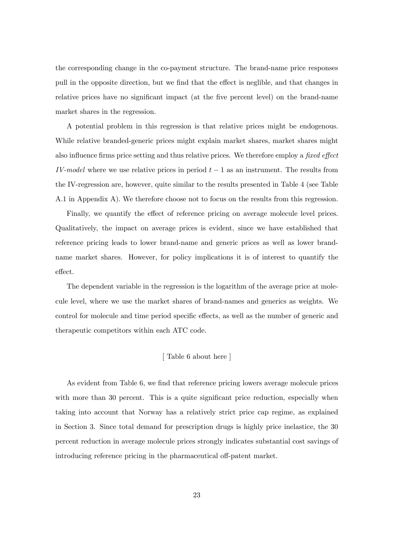the corresponding change in the co-payment structure. The brand-name price responses pull in the opposite direction, but we find that the effect is neglible, and that changes in relative prices have no significant impact (at the five percent level) on the brand-name market shares in the regression.

A potential problem in this regression is that relative prices might be endogenous. While relative branded-generic prices might explain market shares, market shares might also influence firms price setting and thus relative prices. We therefore employ a fixed effect IV-model where we use relative prices in period  $t - 1$  as an instrument. The results from the IV-regression are, however, quite similar to the results presented in Table 4 (see Table A.1 in Appendix A). We therefore choose not to focus on the results from this regression.

Finally, we quantify the effect of reference pricing on average molecule level prices. Qualitatively, the impact on average prices is evident, since we have established that reference pricing leads to lower brand-name and generic prices as well as lower brandname market shares. However, for policy implications it is of interest to quantify the effect.

The dependent variable in the regression is the logarithm of the average price at molecule level, where we use the market shares of brand-names and generics as weights. We control for molecule and time period specific effects, as well as the number of generic and therapeutic competitors within each ATC code.

#### [ Table 6 about here ]

As evident from Table 6, we find that reference pricing lowers average molecule prices with more than 30 percent. This is a quite significant price reduction, especially when taking into account that Norway has a relatively strict price cap regime, as explained in Section 3. Since total demand for prescription drugs is highly price inelastice, the 30 percent reduction in average molecule prices strongly indicates substantial cost savings of introducing reference pricing in the pharmaceutical off-patent market.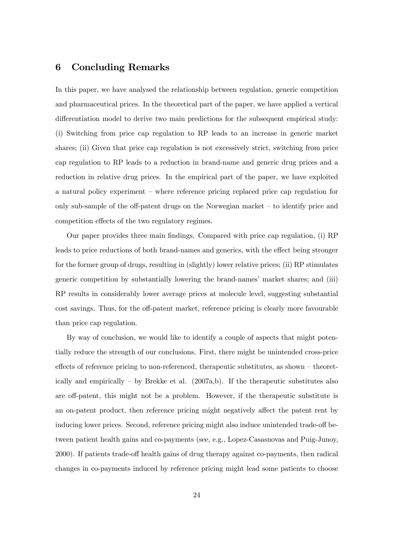#### 6 Concluding Remarks

In this paper, we have analysed the relationship between regulation, generic competition and pharmaceutical prices. In the theoretical part of the paper, we have applied a vertical differentiation model to derive two main predictions for the subsequent empirical study: (i) Switching from price cap regulation to RP leads to an increase in generic market shares; (ii) Given that price cap regulation is not excessively strict, switching from price cap regulation to RP leads to a reduction in brand-name and generic drug prices and a reduction in relative drug prices. In the empirical part of the paper, we have exploited a natural policy experiment — where reference pricing replaced price cap regulation for only sub-sample of the off-patent drugs on the Norwegian market — to identify price and competition effects of the two regulatory regimes.

Our paper provides three main findings. Compared with price cap regulation, (i) RP leads to price reductions of both brand-names and generics, with the effect being stronger for the former group of drugs, resulting in (slightly) lower relative prices; (ii) RP stimulates generic competition by substantially lowering the brand-names' market shares; and (iii) RP results in considerably lower average prices at molecule level, suggesting substantial cost savings. Thus, for the off-patent market, reference pricing is clearly more favourable than price cap regulation.

By way of conclusion, we would like to identify a couple of aspects that might potentially reduce the strength of our conclusions. First, there might be unintended cross-price effects of reference pricing to non-referenced, therapeutic substitutes, as shown — theoretically and empirically  $-$  by Brekke et al. (2007a,b). If the therapeutic substitutes also are off-patent, this might not be a problem. However, if the therapeutic substitute is an on-patent product, then reference pricing might negatively affect the patent rent by inducing lower prices. Second, reference pricing might also induce unintended trade-off between patient health gains and co-payments (see, e.g., Lopez-Casasnovas and Puig-Junoy, 2000). If patients trade-off health gains of drug therapy against co-payments, then radical changes in co-payments induced by reference pricing might lead some patients to choose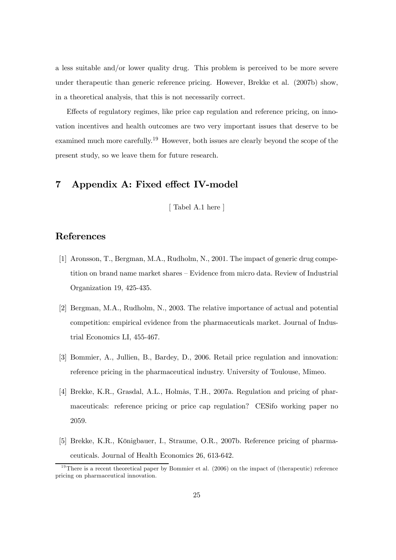a less suitable and/or lower quality drug. This problem is perceived to be more severe under therapeutic than generic reference pricing. However, Brekke et al. (2007b) show, in a theoretical analysis, that this is not necessarily correct.

Effects of regulatory regimes, like price cap regulation and reference pricing, on innovation incentives and health outcomes are two very important issues that deserve to be examined much more carefully.<sup>19</sup> However, both issues are clearly beyond the scope of the present study, so we leave them for future research.

#### 7 Appendix A: Fixed effect IV-model

[ Tabel A.1 here ]

#### References

- [1] Aronsson, T., Bergman, M.A., Rudholm, N., 2001. The impact of generic drug competition on brand name market shares — Evidence from micro data. Review of Industrial Organization 19, 425-435.
- [2] Bergman, M.A., Rudholm, N., 2003. The relative importance of actual and potential competition: empirical evidence from the pharmaceuticals market. Journal of Industrial Economics LI, 455-467.
- [3] Bommier, A., Jullien, B., Bardey, D., 2006. Retail price regulation and innovation: reference pricing in the pharmaceutical industry. University of Toulouse, Mimeo.
- [4] Brekke, K.R., Grasdal, A.L., Holmås, T.H., 2007a. Regulation and pricing of pharmaceuticals: reference pricing or price cap regulation? CESifo working paper no 2059.
- [5] Brekke, K.R., Königbauer, I., Straume, O.R., 2007b. Reference pricing of pharmaceuticals. Journal of Health Economics 26, 613-642.

<sup>&</sup>lt;sup>19</sup>There is a recent theoretical paper by Bommier et al.  $(2006)$  on the impact of (therapeutic) reference pricing on pharmaceutical innovation.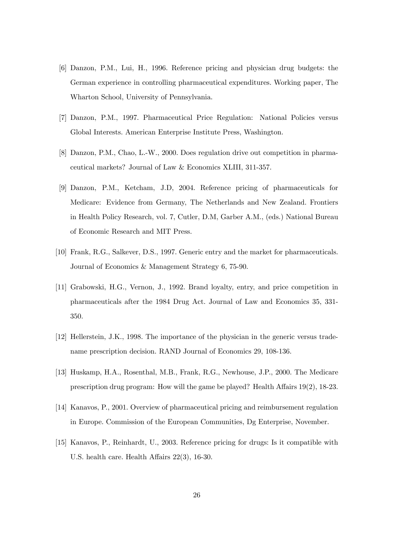- [6] Danzon, P.M., Lui, H., 1996. Reference pricing and physician drug budgets: the German experience in controlling pharmaceutical expenditures. Working paper, The Wharton School, University of Pennsylvania.
- [7] Danzon, P.M., 1997. Pharmaceutical Price Regulation: National Policies versus Global Interests. American Enterprise Institute Press, Washington.
- [8] Danzon, P.M., Chao, L.-W., 2000. Does regulation drive out competition in pharmaceutical markets? Journal of Law & Economics XLIII, 311-357.
- [9] Danzon, P.M., Ketcham, J.D, 2004. Reference pricing of pharmaceuticals for Medicare: Evidence from Germany, The Netherlands and New Zealand. Frontiers in Health Policy Research, vol. 7, Cutler, D.M, Garber A.M., (eds.) National Bureau of Economic Research and MIT Press.
- [10] Frank, R.G., Salkever, D.S., 1997. Generic entry and the market for pharmaceuticals. Journal of Economics & Management Strategy 6, 75-90.
- [11] Grabowski, H.G., Vernon, J., 1992. Brand loyalty, entry, and price competition in pharmaceuticals after the 1984 Drug Act. Journal of Law and Economics 35, 331- 350.
- [12] Hellerstein, J.K., 1998. The importance of the physician in the generic versus tradename prescription decision. RAND Journal of Economics 29, 108-136.
- [13] Huskamp, H.A., Rosenthal, M.B., Frank, R.G., Newhouse, J.P., 2000. The Medicare prescription drug program: How will the game be played? Health Affairs 19(2), 18-23.
- [14] Kanavos, P., 2001. Overview of pharmaceutical pricing and reimbursement regulation in Europe. Commission of the European Communities, Dg Enterprise, November.
- [15] Kanavos, P., Reinhardt, U., 2003. Reference pricing for drugs: Is it compatible with U.S. health care. Health Affairs 22(3), 16-30.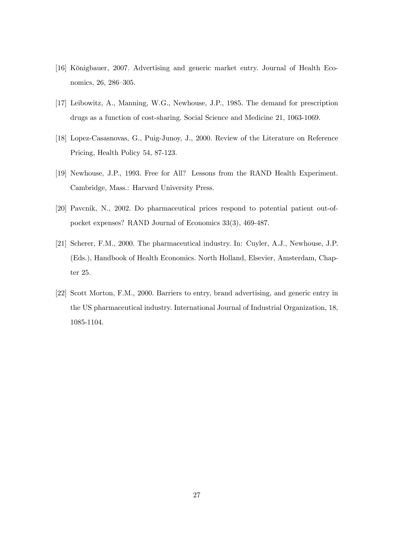- [16] Königbauer, 2007. Advertising and generic market entry. Journal of Health Economics, 26, 286—305.
- [17] Leibowitz, A., Manning, W.G., Newhouse, J.P., 1985. The demand for prescription drugs as a function of cost-sharing. Social Science and Medicine 21, 1063-1069.
- [18] Lopez-Casasnovas, G., Puig-Junoy, J., 2000. Review of the Literature on Reference Pricing, Health Policy 54, 87-123.
- [19] Newhouse, J.P., 1993. Free for All? Lessons from the RAND Health Experiment. Cambridge, Mass.: Harvard University Press.
- [20] Pavcnik, N., 2002. Do pharmaceutical prices respond to potential patient out-ofpocket expenses? RAND Journal of Economics 33(3), 469-487.
- [21] Scherer, F.M., 2000. The pharmaceutical industry. In: Cuyler, A.J., Newhouse, J.P. (Eds.), Handbook of Health Economics. North Holland, Elsevier, Amsterdam, Chapter 25.
- [22] Scott Morton, F.M., 2000. Barriers to entry, brand advertising, and generic entry in the US pharmaceutical industry. International Journal of Industrial Organization, 18, 1085-1104.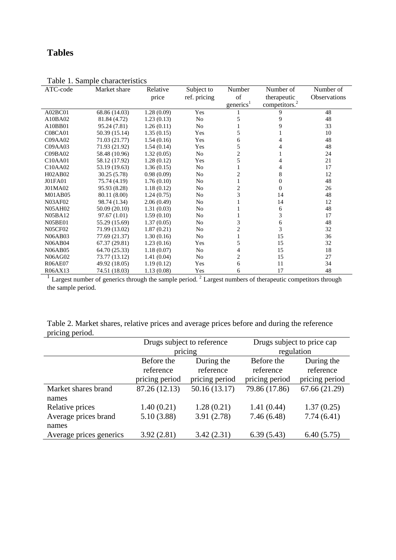### **Tables**

| ATC-code                         | Market share  | Relative   | Subject to     | Number                | Number of                 | Number of    |
|----------------------------------|---------------|------------|----------------|-----------------------|---------------------------|--------------|
|                                  |               | price      | ref. pricing   | of                    | therapeutic               | Observations |
|                                  |               |            |                | generics <sup>1</sup> | competitors. <sup>2</sup> |              |
| A02BC01                          | 68.86 (14.03) | 1.28(0.09) | Yes            |                       | 9                         | 48           |
| A10BA02                          | 81.84 (4.72)  | 1.23(0.13) | No             | 5                     | 9                         | 48           |
| A10BB01                          | 95.24 (7.81)  | 1.26(0.11) | N <sub>o</sub> |                       | 9                         | 33           |
| <b>C08CA01</b>                   | 50.39 (15.14) | 1.35(0.15) | Yes            | 5                     |                           | 10           |
| C09AA02                          | 71.03 (21.77) | 1.54(0.16) | Yes            | 6                     | 4                         | 48           |
| C09AA03                          | 71.93 (21.92) | 1.54(0.14) | Yes            | 5                     |                           | 48           |
| CO9BAO2                          | 58.48 (10.96) | 1.32(0.05) | N <sub>0</sub> | 2                     |                           | 24           |
| C <sub>10</sub> A <sub>A01</sub> | 58.12 (17.92) | 1.28(0.12) | Yes            | 5                     | 4                         | 21           |
| C10AA02                          | 53.19 (19.63) | 1.36(0.15) | No             |                       | 4                         | 17           |
| H02AB02                          | 30.25(5.78)   | 0.98(0.09) | N <sub>0</sub> | 2                     | 8                         | 12           |
| J01FA01                          | 75.74 (4.19)  | 1.76(0.10) | N <sub>0</sub> |                       | $\Omega$                  | 48           |
| J01MA02                          | 95.93 (8.28)  | 1.18(0.12) | No             | $\overline{2}$        | $\Omega$                  | 26           |
| M01AB05                          | 80.11 (8.00)  | 1.24(0.75) | No             | 3                     | 14                        | 48           |
| <b>N03AF02</b>                   | 98.74 (1.34)  | 2.06(0.49) | N <sub>o</sub> |                       | 14                        | 12           |
| N05AH02                          | 50.09 (20.10) | 1.31(0.03) | N <sub>0</sub> |                       | 6                         | 48           |
| N05BA12                          | 97.67 (1.01)  | 1.59(0.10) | No             |                       | 3                         | 17           |
| <b>N05BE01</b>                   | 55.29 (15.69) | 1.37(0.05) | No             | 3                     | 6                         | 48           |
| <b>N05CF02</b>                   | 71.99 (13.02) | 1.87(0.21) | N <sub>0</sub> | 2                     | 3                         | 32           |
| N06AB03                          | 77.69 (21.37) | 1.30(0.16) | No             |                       | 15                        | 36           |
| <b>N06AB04</b>                   | 67.37 (29.81) | 1.23(0.16) | Yes            | 5                     | 15                        | 32           |
| N06AB05                          | 64.70 (25.33) | 1.18(0.07) | N <sub>0</sub> | 4                     | 15                        | 18           |
| N06AG02                          | 73.77 (13.12) | 1.41(0.04) | N <sub>0</sub> | 2                     | 15                        | 27           |
| <b>R06AE07</b>                   | 49.92 (18.05) | 1.19(0.12) | Yes            | 6                     | 11                        | 34           |
| R06AX13                          | 74.51 (18.03) | 1.13(0.08) | Yes            | 6                     | 17                        | 48           |

Table 1. Sample characteristics

 $<sup>1</sup>$  Largest number of generics through the sample period.<sup>2</sup> Largest numbers of therapeutic competitors through</sup> the sample period.

| Table 2. Market shares, relative prices and average prices before and during the reference |  |  |  |
|--------------------------------------------------------------------------------------------|--|--|--|
| pricing period.                                                                            |  |  |  |
|                                                                                            |  |  |  |

|                         | Drugs subject to reference |                | Drugs subject to price cap |                |
|-------------------------|----------------------------|----------------|----------------------------|----------------|
|                         |                            | pricing        | regulation                 |                |
|                         | Before the                 | During the     | Before the                 | During the     |
|                         | reference                  | reference      | reference                  | reference      |
|                         | pricing period             | pricing period | pricing period             | pricing period |
| Market shares brand     | 87.26 (12.13)              | 50.16(13.17)   | 79.86 (17.86)              | 67.66 (21.29)  |
| names                   |                            |                |                            |                |
| Relative prices         | 1.40(0.21)                 | 1.28(0.21)     | 1.41(0.44)                 | 1.37(0.25)     |
| Average prices brand    | 5.10(3.88)                 | 3.91(2.78)     | 7.46(6.48)                 | 7.74(6.41)     |
| names                   |                            |                |                            |                |
| Average prices generics | 3.92(2.81)                 | 3.42(2.31)     | 6.39(5.43)                 | 6.40(5.75)     |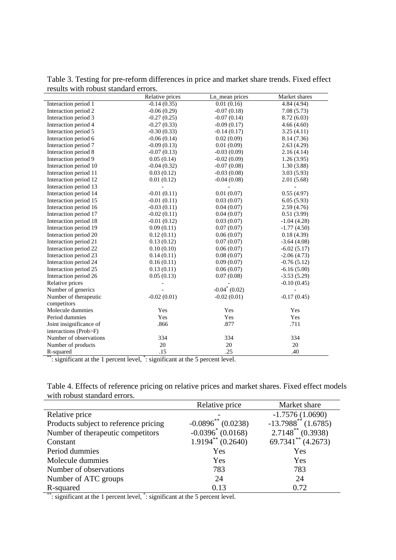|                         | Relative prices | Ln_mean prices   | Market shares |
|-------------------------|-----------------|------------------|---------------|
| Interaction period 1    | $-0.14(0.35)$   | 0.01(0.16)       | 4.84 (4.94)   |
| Interaction period 2    | $-0.06(0.29)$   | $-0.07(0.18)$    | 7.08(5.73)    |
| Interaction period 3    | $-0.27(0.25)$   | $-0.07(0.14)$    | 8.72 (6.03)   |
| Interaction period 4    | $-0.27(0.33)$   | $-0.09(0.17)$    | 4.66(4.60)    |
| Interaction period 5    | $-0.30(0.33)$   | $-0.14(0.17)$    | 3.25(4.11)    |
| Interaction period 6    | $-0.06(0.14)$   | 0.02(0.09)       | 8.14 (7.36)   |
| Interaction period 7    | $-0.09(0.13)$   | 0.01(0.09)       | 2.63(4.29)    |
| Interaction period 8    | $-0.07(0.13)$   | $-0.03(0.09)$    | 2.16(4.14)    |
| Interaction period 9    | 0.05(0.14)      | $-0.02(0.09)$    | 1.26(3.95)    |
| Interaction period 10   | $-0.04(0.32)$   | $-0.07(0.08)$    | 1.30(3.88)    |
| Interaction period 11   | 0.03(0.12)      | $-0.03(0.08)$    | 3.03(5.93)    |
| Interaction period 12   | 0.01(0.12)      | $-0.04(0.08)$    | 2.01(5.68)    |
| Interaction period 13   |                 |                  |               |
| Interaction period 14   | $-0.01(0.11)$   | 0.01(0.07)       | 0.55(4.97)    |
| Interaction period 15   | $-0.01(0.11)$   | 0.03(0.07)       | 6.05(5.93)    |
| Interaction period 16   | $-0.03(0.11)$   | 0.04(0.07)       | 2.59(4.76)    |
| Interaction period 17   | $-0.02(0.11)$   | 0.04(0.07)       | 0.51(3.99)    |
| Interaction period 18   | $-0.01(0.12)$   | 0.03(0.07)       | $-1.04(4.28)$ |
| Interaction period 19   | 0.09(0.11)      | 0.07(0.07)       | $-1.77(4.50)$ |
| Interaction period 20   | 0.12(0.11)      | 0.06(0.07)       | 0.18(4.39)    |
| Interaction period 21   | 0.13(0.12)      | 0.07(0.07)       | $-3.64(4.08)$ |
| Interaction period 22   | 0.10(0.10)      | 0.06(0.07)       | $-6.02(5.17)$ |
| Interaction period 23   | 0.14(0.11)      | 0.08(0.07)       | $-2.06(4.73)$ |
| Interaction period 24   | 0.16(0.11)      | 0.09(0.07)       | $-0.76(5.12)$ |
| Interaction period 25   | 0.13(0.11)      | 0.06(0.07)       | $-6.16(5.00)$ |
| Interaction period 26   | 0.05(0.13)      | 0.07(0.08)       | $-3.53(5.29)$ |
| Relative prices         |                 |                  | $-0.10(0.45)$ |
| Number of generics      |                 | $-0.04^*$ (0.02) |               |
| Number of therapeutic   | $-0.02(0.01)$   | $-0.02(0.01)$    | $-0.17(0.45)$ |
| competitors             |                 |                  |               |
| Molecule dummies        | Yes             | Yes              | Yes           |
| Period dummies          | Yes             | Yes              | Yes           |
| Joint insignificance of | .866            | .877             | .711          |
| interactions (Prob>F)   |                 |                  |               |
| Number of observations  | 334             | 334              | 334           |
| Number of products      | 20              | 20               | 20            |
| R-squared               | .15             | .25              | .40           |

Table 3. Testing for pre-reform differences in price and market share trends. Fixed effect results with robust standard errors.

\*\*: significant at the 1 percent level, \*: significant at the 5 percent level.

| Table 4. Effects of reference pricing on relative prices and market shares. Fixed effect models |  |  |
|-------------------------------------------------------------------------------------------------|--|--|
| with robust standard errors.                                                                    |  |  |

|                                       | Relative price          | Market share                      |
|---------------------------------------|-------------------------|-----------------------------------|
| Relative price                        |                         | $-1.7576(1.0690)$                 |
| Products subject to reference pricing | $-0.0896^{**}$ (0.0238) | $-13.7988$ <sup>**</sup> (1.6785) |
| Number of therapeutic competitors     | $-0.0396^* (0.0168)$    | $2.7148^{**}$ (0.3938)            |
| Constant                              | $1.9194**$ (0.2640)     | $69.7341**$ (4.2673)              |
| Period dummies                        | Yes                     | Yes                               |
| Molecule dummies                      | Yes                     | Yes                               |
| Number of observations                | 783                     | 783                               |
| Number of ATC groups                  | 24                      | 24                                |
| R-squared                             | 0.13                    | 0.72                              |

\*\*: significant at the 1 percent level, \*: significant at the 5 percent level.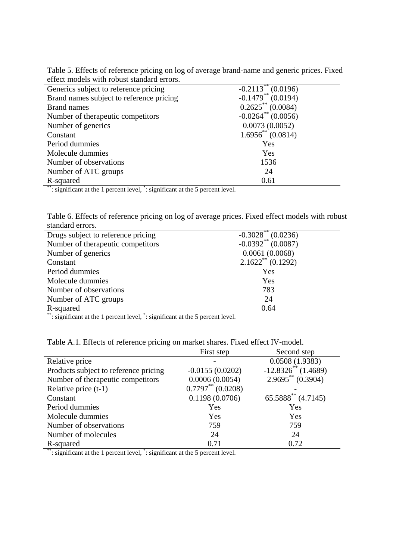| Table 5. Effects of reference pricing on log of average brand-name and generic prices. Fixed |  |
|----------------------------------------------------------------------------------------------|--|
| effect models with robust standard errors.                                                   |  |

| Generics subject to reference pricing    | $-0.2113**$ (0.0196)             |
|------------------------------------------|----------------------------------|
| Brand names subject to reference pricing | $-0.1479**$ (0.0194)             |
| <b>Brand names</b>                       | $0.2625$ ** (0.0084)             |
| Number of therapeutic competitors        | $-0.0264$ <sup>**</sup> (0.0056) |
| Number of generics                       | 0.0073(0.0052)                   |
| Constant                                 | $1.6956^{**}$ (0.0814)           |
| Period dummies                           | Yes                              |
| Molecule dummies                         | Yes                              |
| Number of observations                   | 1536                             |
| Number of ATC groups                     | 24                               |
| R-squared                                | 0.61                             |

\*\*: significant at the 1 percent level, \*: significant at the 5 percent level.

Table 6. Effects of reference pricing on log of average prices. Fixed effect models with robust standard errors.

| Drugs subject to reference pricing | $-0.3028$ (0.0236)   |
|------------------------------------|----------------------|
| Number of therapeutic competitors  | $-0.0392**$ (0.0087) |
| Number of generics                 | 0.0061(0.0068)       |
| Constant                           | $2.1622**$ (0.1292)  |
| Period dummies                     | Yes                  |
| Molecule dummies                   | Yes                  |
| Number of observations             | 783                  |
| Number of ATC groups               | 24                   |
| R-squared                          | 0.64                 |

\*\*: significant at the 1 percent level, \*: significant at the 5 percent level.

| Table A.1. Effects of reference pricing on market shares. Fixed effect IV-model. |  |  |
|----------------------------------------------------------------------------------|--|--|
|                                                                                  |  |  |

|                                       | First step          | Second step                  |
|---------------------------------------|---------------------|------------------------------|
|                                       |                     |                              |
| Relative price                        |                     | 0.0508(1.9383)               |
| Products subject to reference pricing | $-0.0155(0.0202)$   | $-12.8326^{**}$ (1.4689)     |
| Number of therapeutic competitors     | 0.0006(0.0054)      | $2.9695^{\ast\ast}$ (0.3904) |
| Relative price $(t-1)$                | $0.7797**$ (0.0208) |                              |
| Constant                              | 0.1198(0.0706)      | $65.5888^{**}$ (4.7145)      |
| Period dummies                        | Yes                 | Yes                          |
| Molecule dummies                      | Yes                 | Yes                          |
| Number of observations                | 759                 | 759                          |
| Number of molecules                   | 24                  | 24                           |
| R-squared                             | 0.71                | 0.72                         |

\*\*: significant at the 1 percent level, \*: significant at the 5 percent level.